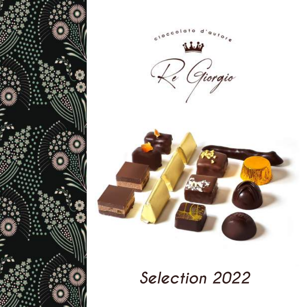





*Selection 2022*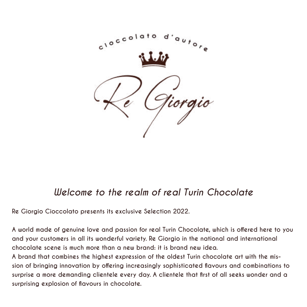

### *Welcome to the realm of real Turin Chocolate*

**Re Giorgio Cioccolato presents its exclusive Selection 2022.**

**A world made of genuine love and passion for real Turin Chocolate, which is offered here to you and your customers in all its wonderful variety. Re Giorgio in the national and international chocolate scene is much more than a new brand: it is brand new idea.**

**A brand that combines the highest expression of the oldest Turin chocolate art with the mission of bringing innovation by offering increasingly sophisticated flavours and combinations to surprise a more demanding clientele every day. A clientele that first of all seeks wonder and a surprising explosion of flavours in chocolate.**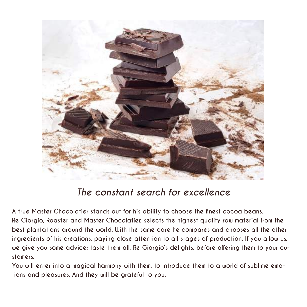

### *The constant search for excellence*

**A true Master Chocolatier stands out for his ability to choose the finest cocoa beans. Re Giorgio, Roaster and Master Chocolatier, selects the highest quality raw material from the best plantations around the world. With the same care he compares and chooses all the other ingredients of his creations, paying close attention to all stages of production. If you allow us, we give you some advice: taste them all, Re Giorgio's delights, before offering them to your customers.**

**You will enter into a magical harmony with them, to introduce them to a world of sublime emotions and pleasures. And they will be grateful to you.**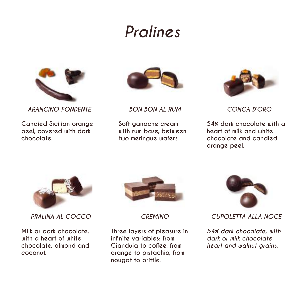## *Pralines*



*ARANCINO FONDENTE*

**Candied Sicilian orange peel, covered with dark chocolate.**



*BON BON AL RUM*

**Soft ganache cream with rum base, between two meringue wafers.**



*CONCA D'ORO*

**54% dark chocolate with a heart of milk and white chocolate and candied orange peel.**



*PRALINA AL COCCO*

**Milk or dark chocolate, with a heart of white chocolate, almond and coconut.**



*CREMINO*

**Three layers of pleasure in infinite variables: from Gianduja to coffee, from orange to pistachio, from nougat to brittle.**



*CUPOLETTA ALLA NOCE*

*54% dark chocolate, with dark or milk chocolate heart and walnut grains.*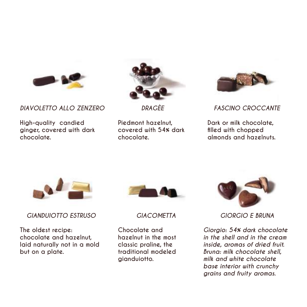

*DIAVOLETTO ALLO ZENZERO*

**High-quality candied ginger, covered with dark chocolate.**



*DRAGÈE*

**Piedmont hazelnut, covered with 54% dark chocolate.**



*FASCINO CROCCANTE*

**Dark or milk chocolate, filled with chopped almonds and hazelnuts.**



*GIANDUIOTTO ESTRUSO*

**The oldest recipe: chocolate and hazelnut, laid naturally not in a mold but on a plate.**



*GIACOMETTA*

**Chocolate and hazelnut in the most classic praline, the traditional modeled gianduiotto.**



*GIORGIO E BRUNA*

*Giorgio: 54% dark chocolate in the shell and in the cream inside, aromas of dried fruit. Bruna: milk chocolate shell, milk and white chocolate base interior with crunchy grains and fruity aromas.*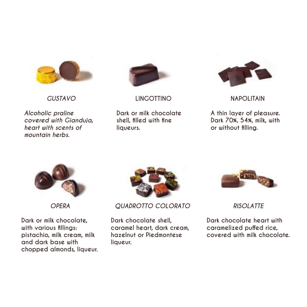

*GUSTAVO*

*Alcoholic praline covered with Gianduja, heart with scents of mountain herbs.*



**LINGOTTINO**

**Dark or milk chocolate shell, filled with fine liqueurs.**



**NAPOLITAIN**

**A thin layer of pleasure. Dark 70%, 54%, milk, with or without filling.**



*OPERA*

**Dark or milk chocolate, with various fillings: pistachio, milk cream, milk and dark base with chopped almonds, liqueur.**



*QUADROTTO COLORATO*

**Dark chocolate shell, caramel heart, dark cream, hazelnut or Piedmontese liqueur.**



*RISOLATTE*

**Dark chocolate heart with caramelized puffed rice, covered with milk chocolate.**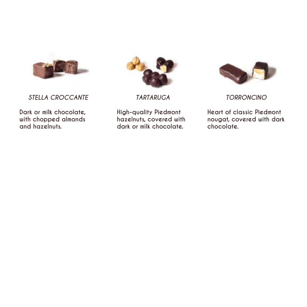

*STELLA CROCCANTE*

**Dark or milk chocolate, with chopped almonds and hazelnuts.**



*TARTARUGA*

**High-quality Piedmont hazelnuts, covered with dark or milk chocolate.**



*TORRONCINO* 

**Heart of classic Piedmont nougat, covered with dark chocolate.**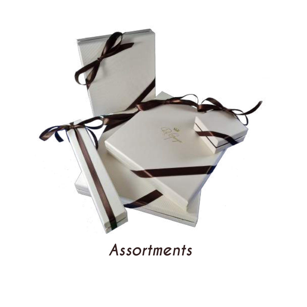

## *Assortments*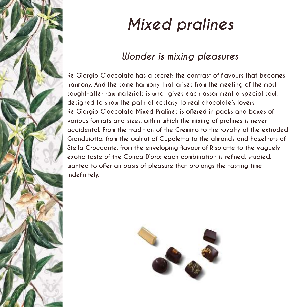

# *Mixed pralines*

### *Wonder is mixing pleasures*

**Re Giorgio Cioccolato has a secret: the contrast of flavours that becomes harmony. And the same harmony that arises from the meeting of the most sought-after raw materials is what gives each assortment a special soul, designed to show the path of ecstasy to real chocolate's lovers. Re Giorgio Cioccolato Mixed Pralines is offered in packs and boxes of various formats and sizes, within which the mixing of pralines is never accidental. From the tradition of the Cremino to the royalty of the extruded Gianduiotto, from the walnut of Cupoletta to the almonds and hazelnuts of Stella Croccante, from the enveloping flavour of Risolatte to the vaguely exotic taste of the Conca D'oro: each combination is refined, studied, wanted to offer an oasis of pleasure that prolongs the tasting time indefinitely.**

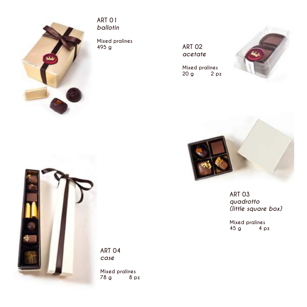

#### **ART 01** *ballotin*

**Mixed pralines 495 g**

**ART 02** *acetate*

**Mixed pralines 20 g** 





**ART 03** *quadrotto (little square box)*

**Mixed pralines 45 g 4 pz**



**ART 04** *case*

**Mixed pralines 78 g 8 pz**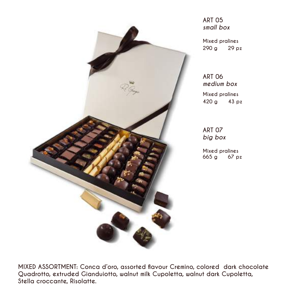

**ART 05** *small box*

**Mixed pralines 290 g 29 pz**

**ART 06** *medium box*

**Mixed pralines 420 g 43 pz**

**ART 07** *big box*

**Mixed pralines** 665 g

**MIXED ASSORTMENT: Conca d'oro, assorted flavour Cremino, colored dark chocolate Quadrotto, extruded Gianduiotto, walnut milk Cupoletta, walnut dark Cupoletta, Stella croccante, Risolatte.**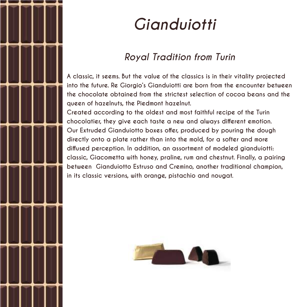

# *Gianduiotti*

### *Royal Tradition from Turin*

**A classic, it seems. But the value of the classics is in their vitality projected into the future. Re Giorgio's Gianduiotti are born from the encounter between the chocolate obtained from the strictest selection of cocoa beans and the queen of hazelnuts, the Piedmont hazelnut.**

**Created according to the oldest and most faithful recipe of the Turin chocolatier, they give each taste a new and always different emotion. Our Extruded Gianduiotto boxes offer, produced by pouring the dough directly onto a plate rather than into the mold, for a softer and more diffused perception. In addition, an assortment of modeled gianduiotti: classic, Giacometta with honey, praline, rum and chestnut. Finally, a pairing between Gianduiotto Estruso and Cremino, another traditional champion, in its classic versions, with orange, pistachio and nougat.**

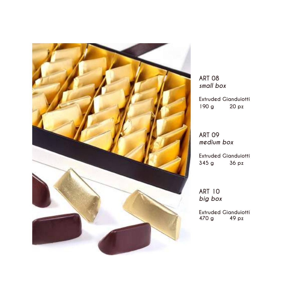

**ART 08** *small box*

**Extruded Gianduiotti 190 g 20 pz**

**ART 09** *medium box*

**Extruded Gianduiotti 345 g 36 pz**

**ART 10** *big box*

**Extruded Gianduiotti 470 g 49 pz**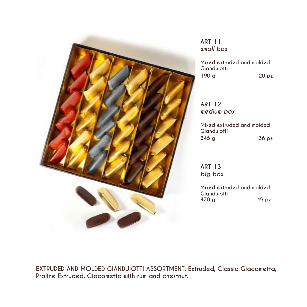

**ART 11** *small box*

**Mixed extruded and molded Gianduiotti 190 g 20 pz**

**ART 12** *medium box*

**Mixed extruded and molded Gianduiotti 345 g 36 pz**

**ART 13** *big box*

**Mixed extruded and molded Gianduiotti 470 g 49 pz**

**EXTRUDED AND MOLDED GIANDUIOTTI ASSORTMENT: Extruded, Classic Giacometta, Praline Extruded, Giacometta with rum and chestnut.**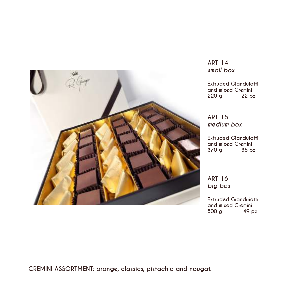

**ART 14** *small box*

**Extruded Gianduiotti and mixed Cremini 220 g 22 pz** 

**ART 15** *medium box*

**Extruded Gianduiotti and mixed Cremini 370 g** 

**ART 16** *big box*

**Extruded Gianduiotti and mixed Cremini 500 g** 

**CREMINI ASSORTMENT: orange, classics, pistachio and nougat.**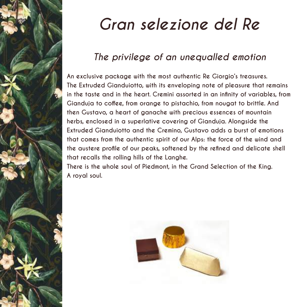

# *Gran selezione del Re*

### *The privilege of an unequalled emotion*

**An exclusive package with the most authentic Re Giorgio's treasures. The Extruded Gianduiotto, with its enveloping note of pleasure that remains in the taste and in the heart. Cremini assorted in an infinity of variables, from Gianduja to coffee, from orange to pistachio, from nougat to brittle. And then Gustavo, a heart of ganache with precious essences of mountain herbs, enclosed in a superlative covering of Gianduja. Alongside the Extruded Gianduiotto and the Cremino, Gustavo adds a burst of emotions that comes from the authentic spirit of our Alps: the force of the wind and the austere profile of our peaks, softened by the refined and delicate shell that recalls the rolling hills of the Langhe.**

**There is the whole soul of Piedmont, in the Grand Selection of the King. A royal soul.**

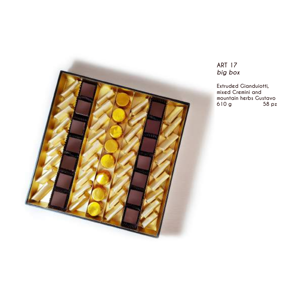

### **ART 17** *big box*

**Extruded Gianduiotti, mixed Cremini and mountain herbs Gustavo** 610 g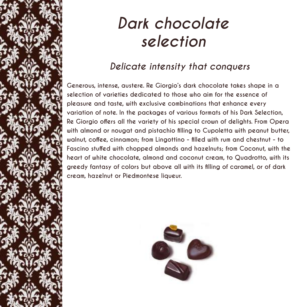# *Dark chocolate selection*

### *Delicate intensity that conquers*

Generous, **intense, interetable contraster automates** in a contrast of the Giorgio's dark chocolate takes shape in a **selection of varieties dedicated to those who aim for the essence of pleasure and taste, with exclusive combinations that enhance every variation of note. In the packages of various formats of his Dark Selection, Re Giorgio offers all the variety of his special crown of delights. From Opera with almond or nougat and pistachio filling to Cupoletta with peanut butter, walnut, coffee, cinnamon; from Lingottino - filled with rum and chestnut - to Fascino stuffed with chopped almonds and hazelnuts; from Coconut, with the heart of white chocolate, almond and coconut cream, to Quadrotto, with its greedy fantasy of colors but above all with its filling of caramel, or of dark cream, hazelnut or Piedmontese liqueur.**

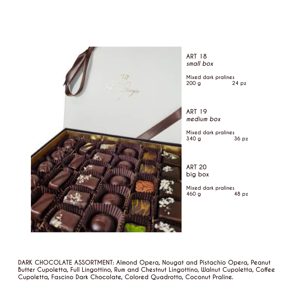

**ART 18** *small box*

**Mixed dark pralines 200 g** 

**ART 19** *medium box*

**Mixed dark pralines 340 g 36 pz**

**ART 20 big box**

**Mixed dark pralines 460 g 48 pz**

**DARK CHOCOLATE ASSORTMENT: Almond Opera, Nougat and Pistachio Opera, Peanut Butter Cupoletta, Full Lingottino, Rum and Chestnut Lingottino, Walnut Cupoletta, Coffee Cupoletta, Fascino Dark Chocolate, Colored Quadrotto, Coconut Praline.**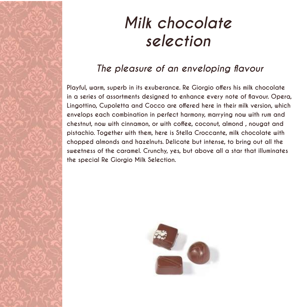# *Milk chocolate selection*

### *The pleasure of an enveloping flavour*

Playful, warmood in its exuberance. Re Giorgio offers his milk chocolate **in a series of assortments designed to enhance every note of flavour. Opera, Lingottino, Cupoletta and Cocco are offered here in their milk version, which envelops each combination in perfect harmony, marrying now with rum and chestnut, now with cinnamon, or with coffee, coconut, almond , nougat and pistachio. Together with them, here is Stella Croccante, milk chocolate with chopped almonds and hazelnuts. Delicate but intense, to bring out all the sweetness of the caramel. Crunchy, yes, but above all a star that illuminates the special Re Giorgio Milk Selection.**

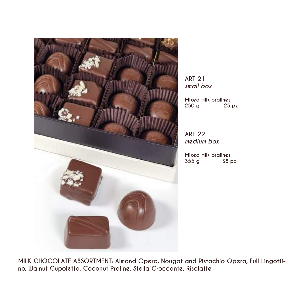

**ART 21** *small box*

**Mixed milk pralines 250 g 25 pz**

**ART 22** *medium box*

**Mixed milk pralines 355 g** 

**MILK CHOCOLATE ASSORTMENT: Almond Opera, Nougat and Pistachio Opera, Full Lingottino, Walnut Cupoletta, Coconut Praline, Stella Croccante, Risolatte.**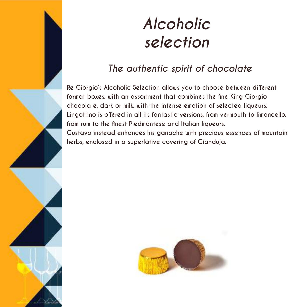

# *Alcoholic selection*

### *The authentic spirit of chocolate*

**Re Giorgio's Alcoholic Selection allows you to choose between different format boxes, with an assortment that combines the fine King Giorgio chocolate, dark or milk, with the intense emotion of selected liqueurs. Lingottino is offered in all its fantastic versions, from vermouth to limoncello, from rum to the finest Piedmontese and Italian liqueurs. Gustavo instead enhances his ganache with precious essences of mountain herbs, enclosed in a superlative covering of Gianduja.**

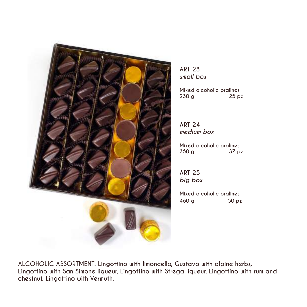

**ART 23** *small box*

**Mixed alcoholic pralines 230 g 25 pz**

**ART 24** *medium box*

**Mixed alcoholic pralines 350 g 37 pz**

**ART 25** *big box*

**Mixed alcoholic pralines 460 g 50 pz**

**ALCOHOLIC ASSORTMENT: Lingottino with limoncello, Gustavo with alpine herbs, Lingottino with San Simone liqueur, Lingottino with Strega liqueur, Lingottino with rum and chestnut, Lingottino with Vermuth.**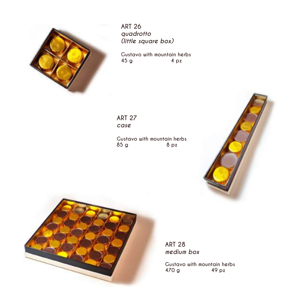

**ART 26** *quadrotto (little square box)*

**Gustavo with mountain herbs 45 g 4 pz**

**ART 27** *case*

**Gustavo with mountain herbs 85 g 8 pz**





**ART 28**  *medium box*

**Gustavo with mountain herbs 470 g 49 pz**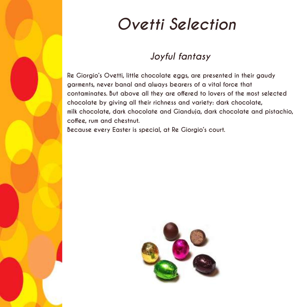

# *Ovetti Selection*

### *Joyful fantasy*

**Re Giorgio's Ovetti, little chocolate eggs, are presented in their gaudy garments, never banal and always bearers of a vital force that contaminates. But above all they are offered to lovers of the most selected chocolate by giving all their richness and variety: dark chocolate, milk chocolate, dark chocolate and Gianduja, dark chocolate and pistachio, coffee, rum and chestnut.**

**Because every Easter is special, at Re Giorgio's court.**

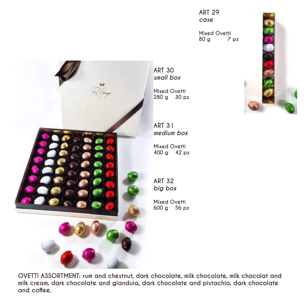

**ART 29** *case*

**Mixed Ovetti 80 g 7 pz**

**ART 30** *small box*

**Mixed Ovetti 280 g 30 pz**

**ART 31** *medium box*

**Mixed Ovetti 400 g 42 pz**

**ART 32** *big box*

**Mixed Ovetti 600 g 56 pz**

**OVETTI ASSORTMENT: rum and chestnut, dark chocolate, milk chocolate, milk chocolat and milk cream, dark chocolate and gianduia, dark chocolate and pistachio, dark chocolate and coffee.**

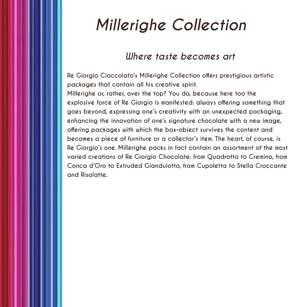## *Millerighe Collection*

### *Where taste becomes art*

**Re Giorgio Cioccolato's Millerighe Collection offers prestigious artistic packages that contain all his creative spirit.**

**Millerighe or, rather, over the top? You do, because here too the explosive force of Re Giorgio is manifested: always offering something that goes beyond, expressing one's creativity with an unexpected packaging, enhancing the innovation of one's signature chocolate with a new image, offering packages with which the box-object survives the content and becomes a piece of furniture or a collector's item. The heart, of course, is Re Giorgio's one. Millerighe packs in fact contain an assortment of the most varied creations of Re Giorgio Chocolate: from Quadrotto to Cremino, from Conca d'Oro to Extruded Gianduiotto, from Cupoletta to Stella Croccante and Risolatte.**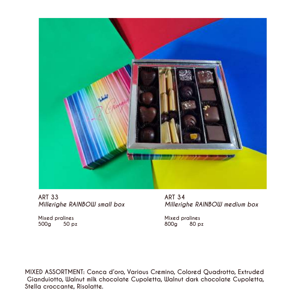

ART 33<br>Millerighe RAINBOW small box Millerig

*Millerighe RAINBOW medium box* 

**Mixed pralines Mixed pralines 500g 50 pz 800g 80 pz**

**MIXED ASSORTMENT: Conca d'oro, Various Cremino, Colored Quadrotto, Extruded Gianduiotto, Walnut milk chocolate Cupoletta, Walnut dark chocolate Cupoletta, Stella croccante, Risolatte.**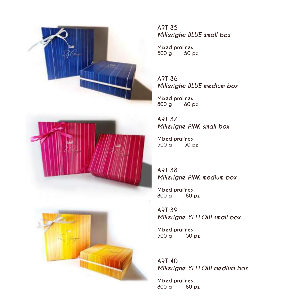





**ART 35**  *Millerighe BLUE small box*

**Mixed pralines 500 g 50 pz** 

**ART 36**  *Millerighe BLUE medium box*

**Mixed pralines 800 g 80 pz**

**ART 37** *Millerighe PINK small box*

**Mixed pralines 500 g 50 pz** 

**ART 38** *Millerighe PINK medium box*

**Mixed pralines 800 g 80 pz**

**ART 39**  *Millerighe YELLOW small box*

**Mixed pralines 500 g 50 pz** 

**ART 40**  *Millerighe YELLOW medium box*

**Mixed pralines 800 g 80 pz**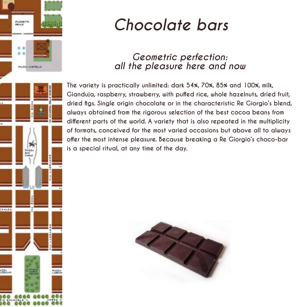

# *Chocolate bars*

### *Geometric perfection: all the pleasure here and now*

**The variety is practically unlimited: dark 54%, 70%, 85% and 100%, milk, Gianduja, raspberry, strawberry, with puffed rice, whole hazelnuts, dried fruit, dried figs. Single origin chocolate or in the characteristic Re Giorgio's blend, always obtained from the rigorous selection of the best cocoa beans from different parts of the world. A variety that is also repeated in the multiplicity of formats, conceived for the most varied occasions but above all to always offer the most intense pleasure. Because breaking a Re Giorgio's choco-bar is a special ritual, at any time of the day.**

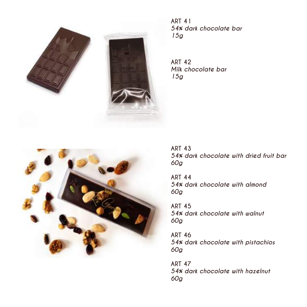

**ART 41** *54% dark chocolate bar 15g*

**ART 42** *Milk chocolate bar 15g*



**ART 43** *54% dark chocolate with dried fruit bar 60g*

**ART 44** *54% dark chocolate with almond 60g*

**ART 45** *54% dark chocolate with walnut 60g*

**ART 46** *54% dark chocolate with pistachios 60g*

**ART 47** *54% dark chocolate with hazelnut 60g*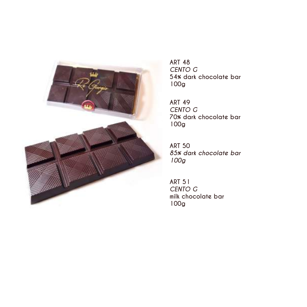

**ART 48** *CENTO G* **54% dark chocolate bar 100g**

**ART 49** *CENTO G* **70% dark chocolate bar 100g**

**ART 50** *85% dark chocolate bar 100g*

**ART 51** *CENTO G* **milk chocolate bar 100g**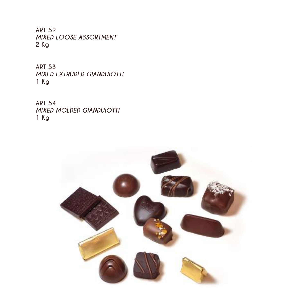**ART 52** *MIXED LOOSE ASSORTMENT* **2 Kg**

**ART 53** *MIXED EXTRUDED GIANDUIOTTI* **1 Kg**

**ART 54** *MIXED MOLDED GIANDUIOTTI* **1 Kg**

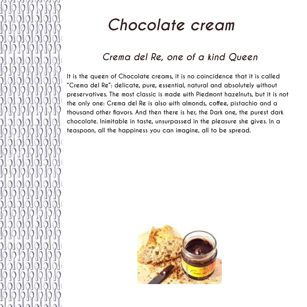

# *Chocolate cream*

## *Crema del Re, one of a kind Queen*

**It is the queen of Chocolate creams, it is no coincidence that it is called "Crema del Re": delicate, pure, essential, natural and absolutely without preservatives. The most classic is made with Piedmont hazelnuts, but it is not the only one: Crema del Re is also with almonds, coffee, pistachio and a thousand other flavors. And then there is her, the Dark one, the purest dark chocolate. Inimitable in taste, unsurpassed in the pleasure she gives. In a teaspoon, all the happiness you can imagine, all to be spread.**

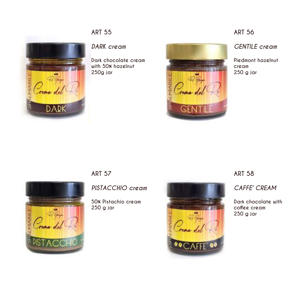### **ART 55**



#### *DARK cream*

**Dark chocolate cream with 50% hazelnut 250g jar**



#### **ART 56**

*GENTILE cream*

**Piedmont hazelnut cream 250 g jar**

### **ART 57**

*PISTACCHIO cream*

**50% Pistachio cream 250 g jar**



#### **ART 58**

*CAFFE' CREAM*

**Dark chocolate with coffee cream 250 g jar**

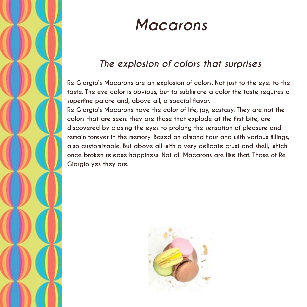

# *Macarons*

## *The explosion of colors that surprises*

**Re Giorgio's Macarons are an explosion of colors. Not just to the eye: to the taste. The eye color is obvious, but to sublimate a color the taste requires a superfine palate and, above all, a special flavor.**

**Re Giorgio's Macarons have the color of life, joy, ecstasy. They are not the colors that are seen: they are those that explode at the first bite, are discovered by closing the eyes to prolong the sensation of pleasure and remain forever in the memory. Based on almond flour and with various fillings, also customizable. But above all with a very delicate crust and shell, which once broken release happiness. Not all Macarons are like that. Those of Re Giorgio yes they are.**

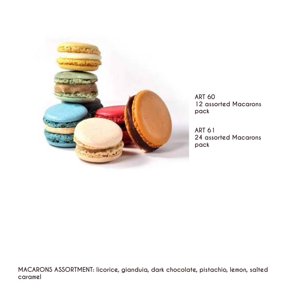

**ART 60 12 assorted Macarons pack**

**ART 61 24 assorted Macarons pack**

**MACARONS ASSORTMENT: licorice, gianduia, dark chocolate, pistachio, lemon, salted caramel**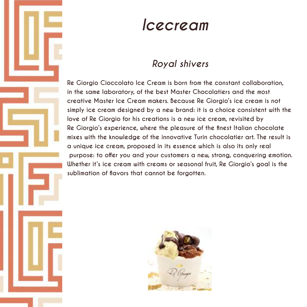

## *Icecream*

### *Royal shivers*

**Re Giorgio Cioccolato Ice Cream is born from the constant collaboration, in the same laboratory, of the best Master Chocolatiers and the most creative Master Ice Cream makers. Because Re Giorgio's ice cream is not simply ice cream designed by a new brand: it is a choice consistent with the love of Re Giorgio for his creations is a new ice cream, revisited by Re Giorgio's experience, where the pleasure of the finest Italian chocolate mixes with the knowledge of the innovative Turin chocolatier art. The result is a unique ice cream, proposed in its essence which is also its only real purpose: to offer you and your customers a new, strong, conquering emotion. Whether it's ice cream with creams or seasonal fruit, Re Giorgio's goal is the sublimation of flavors that cannot be forgotten.**

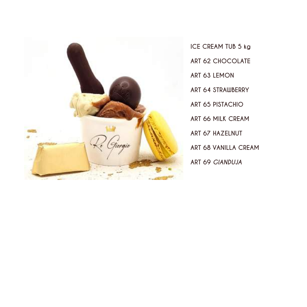

**ICE CREAM TUB 5 kg ART 62 CHOCOLATE ART 63 LEMON ART 64 STRAWBERRY ART 65 PISTACHIO ART 66 MILK CREAM ART 67 HAZELNUT ART 68 VANILLA CREAM ART 69** *GIANDUJA*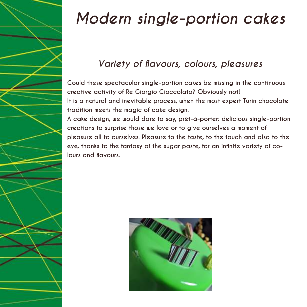

# *Modern single-portion cakes*

## *Variety of flavours, colours, pleasures*

**Could these spectacular single-portion cakes be missing in the continuous creative activity of Re Giorgio Cioccolato? Obviously not! It is a natural and inevitable process, when the most expert Turin chocolate tradition meets the magic of cake design.**

**A cake design, we would dare to say, prêt-à-porter: delicious single-portion creations to surprise those we love or to give ourselves a moment of pleasure all to ourselves. Pleasure to the taste, to the touch and also to the eye, thanks to the fantasy of the sugar paste, for an infinite variety of colours and flavours.**

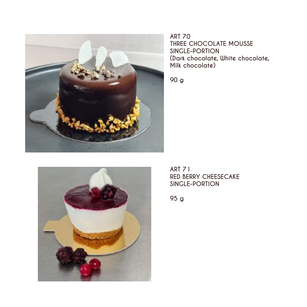

**ART 70 THREE CHOCOLATE MOUSSE SINGLE-PORTION (Dark chocolate, White chocolate, Milk chocolate)**

**90 g**



**ART 71 RED BERRY CHEESECAKE SINGLE-PORTION**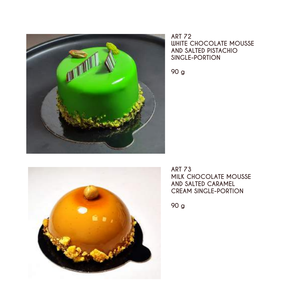



**90 g**



**ART 73 MILK CHOCOLATE MOUSSE AND SALTED CARAMEL CREAM SINGLE-PORTION**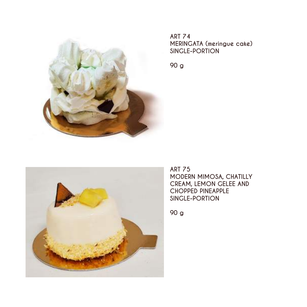

**ART 74 MERINGATA (meringue cake) SINGLE-PORTION**

**90 g**



**ART 75 MODERN MIMOSA, CHATILLY CREAM, LEMON GELEE AND CHOPPED PINEAPPLE SINGLE-PORTION**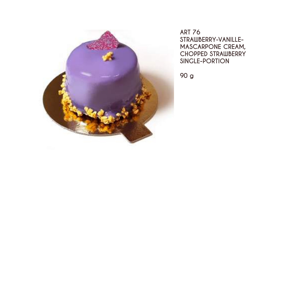

**ART 76 STRAWBERRY-VANILLE-MASCARPONE CREAM, CHOPPED STRAWBERRY SINGLE-PORTION**